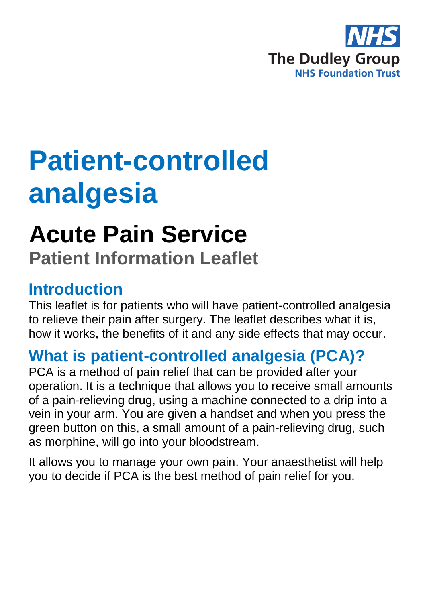

# **Patient-controlled analgesia**

## **Acute Pain Service**

**Patient Information Leaflet**

#### **Introduction**

This leaflet is for patients who will have patient-controlled analgesia to relieve their pain after surgery. The leaflet describes what it is, how it works, the benefits of it and any side effects that may occur.

## **What is patient-controlled analgesia (PCA)?**

PCA is a method of pain relief that can be provided after your operation. It is a technique that allows you to receive small amounts of a pain-relieving drug, using a machine connected to a drip into a vein in your arm. You are given a handset and when you press the green button on this, a small amount of a pain-relieving drug, such as morphine, will go into your bloodstream.

It allows you to manage your own pain. Your anaesthetist will help you to decide if PCA is the best method of pain relief for you.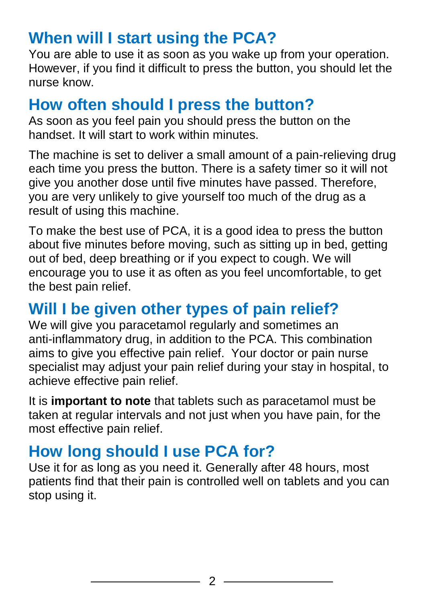#### **When will I start using the PCA?**

You are able to use it as soon as you wake up from your operation. However, if you find it difficult to press the button, you should let the nurse know.

#### **How often should I press the button?**

As soon as you feel pain you should press the button on the handset. It will start to work within minutes.

The machine is set to deliver a small amount of a pain-relieving drug each time you press the button. There is a safety timer so it will not give you another dose until five minutes have passed. Therefore, you are very unlikely to give yourself too much of the drug as a result of using this machine.

To make the best use of PCA, it is a good idea to press the button about five minutes before moving, such as sitting up in bed, getting out of bed, deep breathing or if you expect to cough. We will encourage you to use it as often as you feel uncomfortable, to get the best pain relief.

### **Will I be given other types of pain relief?**

We will give you paracetamol regularly and sometimes an anti-inflammatory drug, in addition to the PCA. This combination aims to give you effective pain relief. Your doctor or pain nurse specialist may adjust your pain relief during your stay in hospital, to achieve effective pain relief.

It is **important to note** that tablets such as paracetamol must be taken at regular intervals and not just when you have pain, for the most effective pain relief.

### **How long should I use PCA for?**

Use it for as long as you need it. Generally after 48 hours, most patients find that their pain is controlled well on tablets and you can stop using it.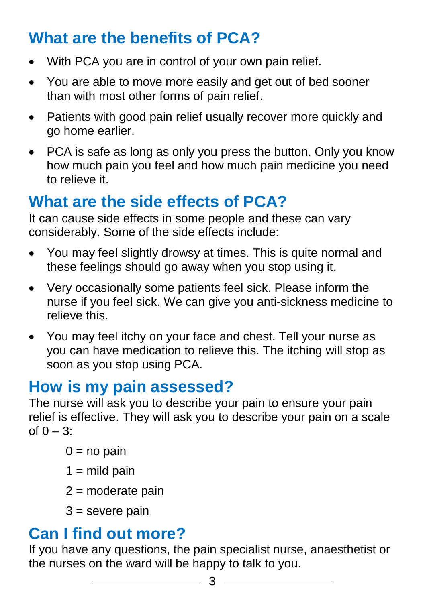### **What are the benefits of PCA?**

- With PCA you are in control of your own pain relief.
- You are able to move more easily and get out of bed sooner than with most other forms of pain relief.
- Patients with good pain relief usually recover more quickly and go home earlier.
- PCA is safe as long as only you press the button. Only you know how much pain you feel and how much pain medicine you need to relieve it.

#### **What are the side effects of PCA?**

It can cause side effects in some people and these can vary considerably. Some of the side effects include:

- You may feel slightly drowsy at times. This is quite normal and these feelings should go away when you stop using it.
- Very occasionally some patients feel sick. Please inform the nurse if you feel sick. We can give you anti-sickness medicine to relieve this.
- You may feel itchy on your face and chest. Tell your nurse as you can have medication to relieve this. The itching will stop as soon as you stop using PCA.

#### **How is my pain assessed?**

The nurse will ask you to describe your pain to ensure your pain relief is effective. They will ask you to describe your pain on a scale of  $0 - 3$ :

- $0 = no$  pain
- $1 =$  mild pain
- $2$  = moderate pain
- $3$  = severe pain

#### **Can I find out more?**

If you have any questions, the pain specialist nurse, anaesthetist or the nurses on the ward will be happy to talk to you.